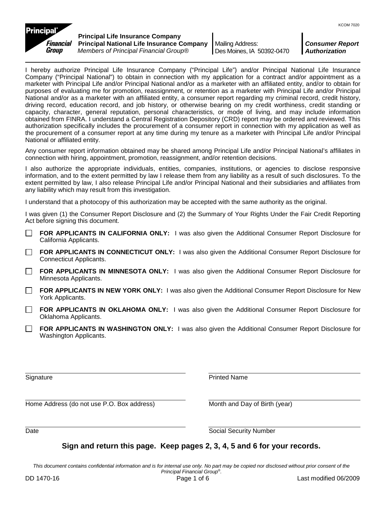

Mailing Address: Des Moines, IA 50392-0470

I hereby authorize Principal Life Insurance Company ("Principal Life") and/or Principal National Life Insurance Company ("Principal National") to obtain in connection with my application for a contract and/or appointment as a marketer with Principal Life and/or Principal National and/or as a marketer with an affiliated entity, and/or to obtain for purposes of evaluating me for promotion, reassignment, or retention as a marketer with Principal Life and/or Principal National and/or as a marketer with an affiliated entity, a consumer report regarding my criminal record, credit history, driving record, education record, and job history, or otherwise bearing on my credit worthiness, credit standing or capacity, character, general reputation, personal characteristics, or mode of living, and may include information obtained from FINRA. I understand a Central Registration Depository (CRD) report may be ordered and reviewed. This authorization specifically includes the procurement of a consumer report in connection with my application as well as the procurement of a consumer report at any time during my tenure as a marketer with Principal Life and/or Principal National or affiliated entity.

Any consumer report information obtained may be shared among Principal Life and/or Principal National's affiliates in connection with hiring, appointment, promotion, reassignment, and/or retention decisions.

I also authorize the appropriate individuals, entities, companies, institutions, or agencies to disclose responsive information, and to the extent permitted by law I release them from any liability as a result of such disclosures. To the extent permitted by law, I also release Principal Life and/or Principal National and their subsidiaries and affiliates from any liability which may result from this investigation.

I understand that a photocopy of this authorization may be accepted with the same authority as the original.

I was given (1) the Consumer Report Disclosure and (2) the Summary of Your Rights Under the Fair Credit Reporting Act before signing this document.

- $\Box$ **FOR APPLICANTS IN CALIFORNIA ONLY:** I was also given the Additional Consumer Report Disclosure for California Applicants.
- **FOR APPLICANTS IN CONNECTICUT ONLY:** I was also given the Additional Consumer Report Disclosure for  $\Box$ Connecticut Applicants.
- **FOR APPLICANTS IN MINNESOTA ONLY:** I was also given the Additional Consumer Report Disclosure for  $\Box$ Minnesota Applicants.
- **FOR APPLICANTS IN NEW YORK ONLY:** I was also given the Additional Consumer Report Disclosure for New  $\Box$ York Applicants.
- **FOR APPLICANTS IN OKLAHOMA ONLY:** I was also given the Additional Consumer Report Disclosure for Oklahoma Applicants.
- $\Box$ **FOR APPLICANTS IN WASHINGTON ONLY:** I was also given the Additional Consumer Report Disclosure for Washington Applicants.

Signature **Printed Name** 

Home Address (do not use P.O. Box address) Month and Day of Birth (year)

Date **Social Security Number** Secret Security Number

## **Sign and return this page. Keep pages 2, 3, 4, 5 and 6 for your records.**

*This document contains confidential information and is for internal use only. No part may be copied nor disclosed without prior consent of the Principal Financial Group®.*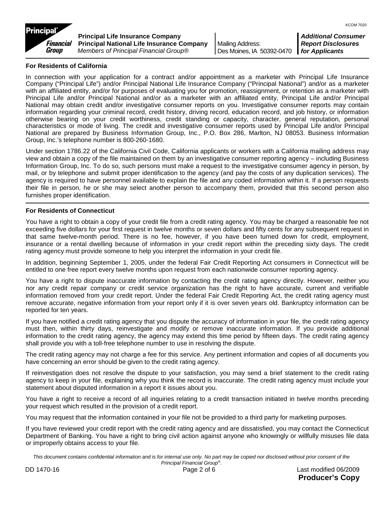

**Principal Life Insurance Company Principal National Life Insurance Company** *Members of Principal Financial Group®*

Mailing Address: Des Moines, IA 50392-0470

*Additional Consumer Report Disclosures for Applicants*

#### **For Residents of California**

In connection with your application for a contract and/or appointment as a marketer with Principal Life Insurance Company ("Principal Life") and/or Principal National Life Insurance Company ("Principal National") and/or as a marketer with an affiliated entity, and/or for purposes of evaluating you for promotion, reassignment, or retention as a marketer with Principal Life and/or Principal National and/or as a marketer with an affiliated entity, Principal Life and/or Principal National may obtain credit and/or investigative consumer reports on you. Investigative consumer reports may contain information regarding your criminal record, credit history, driving record, education record, and job history, or information otherwise bearing on your credit worthiness, credit standing or capacity, character, general reputation, personal characteristics or mode of living. The credit and investigative consumer reports used by Principal Life and/or Principal National are prepared by Business Information Group, Inc., P.O. Box 286, Marlton, NJ 08053. Business Information Group, Inc.'s telephone number is 800-260-1680.

Under section 1786.22 of the California Civil Code, California applicants or workers with a California mailing address may view and obtain a copy of the file maintained on them by an investigative consumer reporting agency – including Business Information Group, Inc. To do so, such persons must make a request to the investigative consumer agency in person, by mail, or by telephone and submit proper identification to the agency (and pay the costs of any duplication services). The agency is required to have personnel available to explain the file and any coded information within it. If a person requests their file in person, he or she may select another person to accompany them, provided that this second person also furnishes proper identification.

#### **For Residents of Connecticut**

You have a right to obtain a copy of your credit file from a credit rating agency. You may be charged a reasonable fee not exceeding five dollars for your first request in twelve months or seven dollars and fifty cents for any subsequent request in that same twelve-month period. There is no fee, however, if you have been turned down for credit, employment, insurance or a rental dwelling because of information in your credit report within the preceding sixty days. The credit rating agency must provide someone to help you interpret the information in your credit file.

In addition, beginning September 1, 2005, under the federal Fair Credit Reporting Act consumers in Connecticut will be entitled to one free report every twelve months upon request from each nationwide consumer reporting agency.

You have a right to dispute inaccurate information by contacting the credit rating agency directly. However, neither you nor any credit repair company or credit service organization has the right to have accurate, current and verifiable information removed from your credit report. Under the federal Fair Credit Reporting Act, the credit rating agency must remove accurate, negative information from your report only if it is over seven years old. Bankruptcy information can be reported for ten years.

If you have notified a credit rating agency that you dispute the accuracy of information in your file, the credit rating agency must then, within thirty days, reinvestigate and modify or remove inaccurate information. If you provide additional information to the credit rating agency, the agency may extend this time period by fifteen days. The credit rating agency shall provide you with a toll-free telephone number to use in resolving the dispute.

The credit rating agency may not charge a fee for this service. Any pertinent information and copies of all documents you have concerning an error should be given to the credit rating agency.

If reinvestigation does not resolve the dispute to your satisfaction, you may send a brief statement to the credit rating agency to keep in your file, explaining why you think the record is inaccurate. The credit rating agency must include your statement about disputed information in a report it issues about you.

You have a right to receive a record of all inquiries relating to a credit transaction initiated in twelve months preceding your request which resulted in the provision of a credit report.

You may request that the information contained in your file not be provided to a third party for marketing purposes.

If you have reviewed your credit report with the credit rating agency and are dissatisfied, you may contact the Connecticut Department of Banking. You have a right to bring civil action against anyone who knowingly or willfully misuses file data or improperly obtains access to your file.

*This document contains confidential information and is for internal use only. No part may be copied nor disclosed without prior consent of the*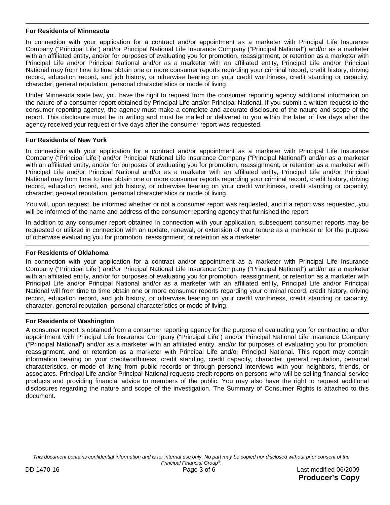#### **For Residents of Minnesota**

In connection with your application for a contract and/or appointment as a marketer with Principal Life Insurance Company ("Principal Life") and/or Principal National Life Insurance Company ("Principal National") and/or as a marketer with an affiliated entity, and/or for purposes of evaluating you for promotion, reassignment, or retention as a marketer with Principal Life and/or Principal National and/or as a marketer with an affiliated entity, Principal Life and/or Principal National may from time to time obtain one or more consumer reports regarding your criminal record, credit history, driving record, education record, and job history, or otherwise bearing on your credit worthiness, credit standing or capacity, character, general reputation, personal characteristics or mode of living.

Under Minnesota state law, you have the right to request from the consumer reporting agency additional information on the nature of a consumer report obtained by Principal Life and/or Principal National. If you submit a written request to the consumer reporting agency, the agency must make a complete and accurate disclosure of the nature and scope of the report. This disclosure must be in writing and must be mailed or delivered to you within the later of five days after the agency received your request or five days after the consumer report was requested.

#### **For Residents of New York**

In connection with your application for a contract and/or appointment as a marketer with Principal Life Insurance Company ("Principal Life") and/or Principal National Life Insurance Company ("Principal National") and/or as a marketer with an affiliated entity, and/or for purposes of evaluating you for promotion, reassignment, or retention as a marketer with Principal Life and/or Principal National and/or as a marketer with an affiliated entity, Principal Life and/or Principal National may from time to time obtain one or more consumer reports regarding your criminal record, credit history, driving record, education record, and job history, or otherwise bearing on your credit worthiness, credit standing or capacity, character, general reputation, personal characteristics or mode of living.

You will, upon request, be informed whether or not a consumer report was requested, and if a report was requested, you will be informed of the name and address of the consumer reporting agency that furnished the report.

In addition to any consumer report obtained in connection with your application, subsequent consumer reports may be requested or utilized in connection with an update, renewal, or extension of your tenure as a marketer or for the purpose of otherwise evaluating you for promotion, reassignment, or retention as a marketer.

### **For Residents of Oklahoma**

In connection with your application for a contract and/or appointment as a marketer with Principal Life Insurance Company ("Principal Life") and/or Principal National Life Insurance Company ("Principal National") and/or as a marketer with an affiliated entity, and/or for purposes of evaluating you for promotion, reassignment, or retention as a marketer with Principal Life and/or Principal National and/or as a marketer with an affiliated entity, Principal Life and/or Principal National will from time to time obtain one or more consumer reports regarding your criminal record, credit history, driving record, education record, and job history, or otherwise bearing on your credit worthiness, credit standing or capacity, character, general reputation, personal characteristics or mode of living.

## **For Residents of Washington**

A consumer report is obtained from a consumer reporting agency for the purpose of evaluating you for contracting and/or appointment with Principal Life Insurance Company ("Principal Life") and/or Principal National Life Insurance Company ("Principal National") and/or as a marketer with an affiliated entity, and/or for purposes of evaluating you for promotion, reassignment, and or retention as a marketer with Principal Life and/or Principal National. This report may contain information bearing on your creditworthiness, credit standing, credit capacity, character, general reputation, personal characteristics, or mode of living from public records or through personal interviews with your neighbors, friends, or associates. Principal Life and/or Principal National requests credit reports on persons who will be selling financial service products and providing financial advice to members of the public. You may also have the right to request additional disclosures regarding the nature and scope of the investigation. The Summary of Consumer Rights is attached to this document.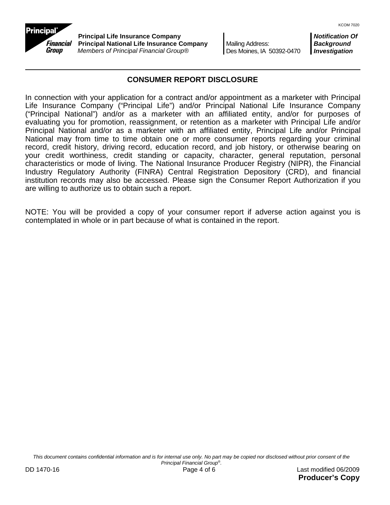

**Principal Life Insurance Company Principal National Life Insurance Company** *Members of Principal Financial Group®*

Mailing Address: Des Moines, IA 50392-0470 *Notification Of Background Investigation*

# **CONSUMER REPORT DISCLOSURE**

In connection with your application for a contract and/or appointment as a marketer with Principal Life Insurance Company ("Principal Life") and/or Principal National Life Insurance Company ("Principal National") and/or as a marketer with an affiliated entity, and/or for purposes of evaluating you for promotion, reassignment, or retention as a marketer with Principal Life and/or Principal National and/or as a marketer with an affiliated entity, Principal Life and/or Principal National may from time to time obtain one or more consumer reports regarding your criminal record, credit history, driving record, education record, and job history, or otherwise bearing on your credit worthiness, credit standing or capacity, character, general reputation, personal characteristics or mode of living. The National Insurance Producer Registry (NIPR), the Financial Industry Regulatory Authority (FINRA) Central Registration Depository (CRD), and financial institution records may also be accessed. Please sign the Consumer Report Authorization if you are willing to authorize us to obtain such a report.

NOTE: You will be provided a copy of your consumer report if adverse action against you is contemplated in whole or in part because of what is contained in the report.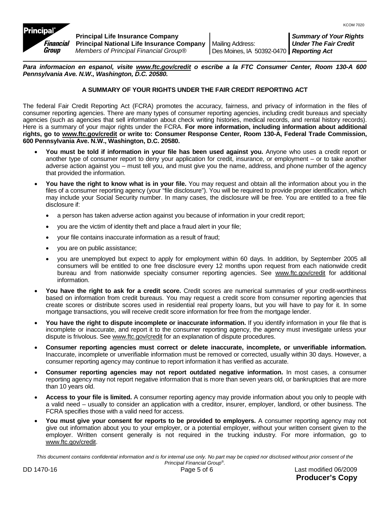

*Para informacion en espanol, visite [www.ftc.gov/credit](http://www.ftc.gov/credit) o escribe a la FTC Consumer Center, Room 130-A 600 Pennsylvania Ave. N.W., Washington, D.C. 20580.*

## **A SUMMARY OF YOUR RIGHTS UNDER THE FAIR CREDIT REPORTING ACT**

The federal Fair Credit Reporting Act (FCRA) promotes the accuracy, fairness, and privacy of information in the files of consumer reporting agencies. There are many types of consumer reporting agencies, including credit bureaus and specialty agencies (such as agencies that sell information about check writing histories, medical records, and rental history records). Here is a summary of your major rights under the FCRA. **For more information, including information about additional rights, go to [www.ftc.gov/credit](http://www.ftc.gov/credit) or write to: Consumer Response Center, Room 130-A, Federal Trade Commission, 600 Pennsylvania Ave. N.W., Washington, D.C. 20580.**

- **You must be told if information in your file has been used against you.** Anyone who uses a credit report or another type of consumer report to deny your application for credit, insurance, or employment – or to take another adverse action against you – must tell you, and must give you the name, address, and phone number of the agency that provided the information.
- **You have the right to know what is in your file.** You may request and obtain all the information about you in the files of a consumer reporting agency (your "file disclosure"). You will be required to provide proper identification, which may include your Social Security number. In many cases, the disclosure will be free. You are entitled to a free file disclosure if:
	- a person has taken adverse action against you because of information in your credit report;
	- you are the victim of identity theft and place a fraud alert in your file;
	- your file contains inaccurate information as a result of fraud;
	- you are on public assistance;
	- you are unemployed but expect to apply for employment within 60 days. In addition, by September 2005 all consumers will be entitled to one free disclosure every 12 months upon request from each nationwide credit bureau and from nationwide specialty consumer reporting agencies. See [www.ftc.gov/credit](http://www.ftc.gov/credit) for additional information.
- **You have the right to ask for a credit score.** Credit scores are numerical summaries of your credit-worthiness based on information from credit bureaus. You may request a credit score from consumer reporting agencies that create scores or distribute scores used in residential real property loans, but you will have to pay for it. In some mortgage transactions, you will receive credit score information for free from the mortgage lender.
- **You have the right to dispute incomplete or inaccurate information.** If you identify information in your file that is incomplete or inaccurate, and report it to the consumer reporting agency, the agency must investigate unless your dispute is frivolous. Se[e www.ftc.gov/credit](http://www.ftc.gov/credit) for an explanation of dispute procedures.
- **Consumer reporting agencies must correct or delete inaccurate, incomplete, or unverifiable information.** Inaccurate, incomplete or unverifiable information must be removed or corrected, usually within 30 days. However, a consumer reporting agency may continue to report information it has verified as accurate.
- **Consumer reporting agencies may not report outdated negative information.** In most cases, a consumer reporting agency may not report negative information that is more than seven years old, or bankruptcies that are more than 10 years old.
- **Access to your file is limited.** A consumer reporting agency may provide information about you only to people with a valid need – usually to consider an application with a creditor, insurer, employer, landlord, or other business. The FCRA specifies those with a valid need for access.
- **You must give your consent for reports to be provided to employers.** A consumer reporting agency may not give out information about you to your employer, or a potential employer, without your written consent given to the employer. Written consent generally is not required in the trucking industry. For more information, go to [www.ftc.gov/credit.](http://www.ftc.gov/credit)

*This document contains confidential information and is for internal use only. No part may be copied nor disclosed without prior consent of the*